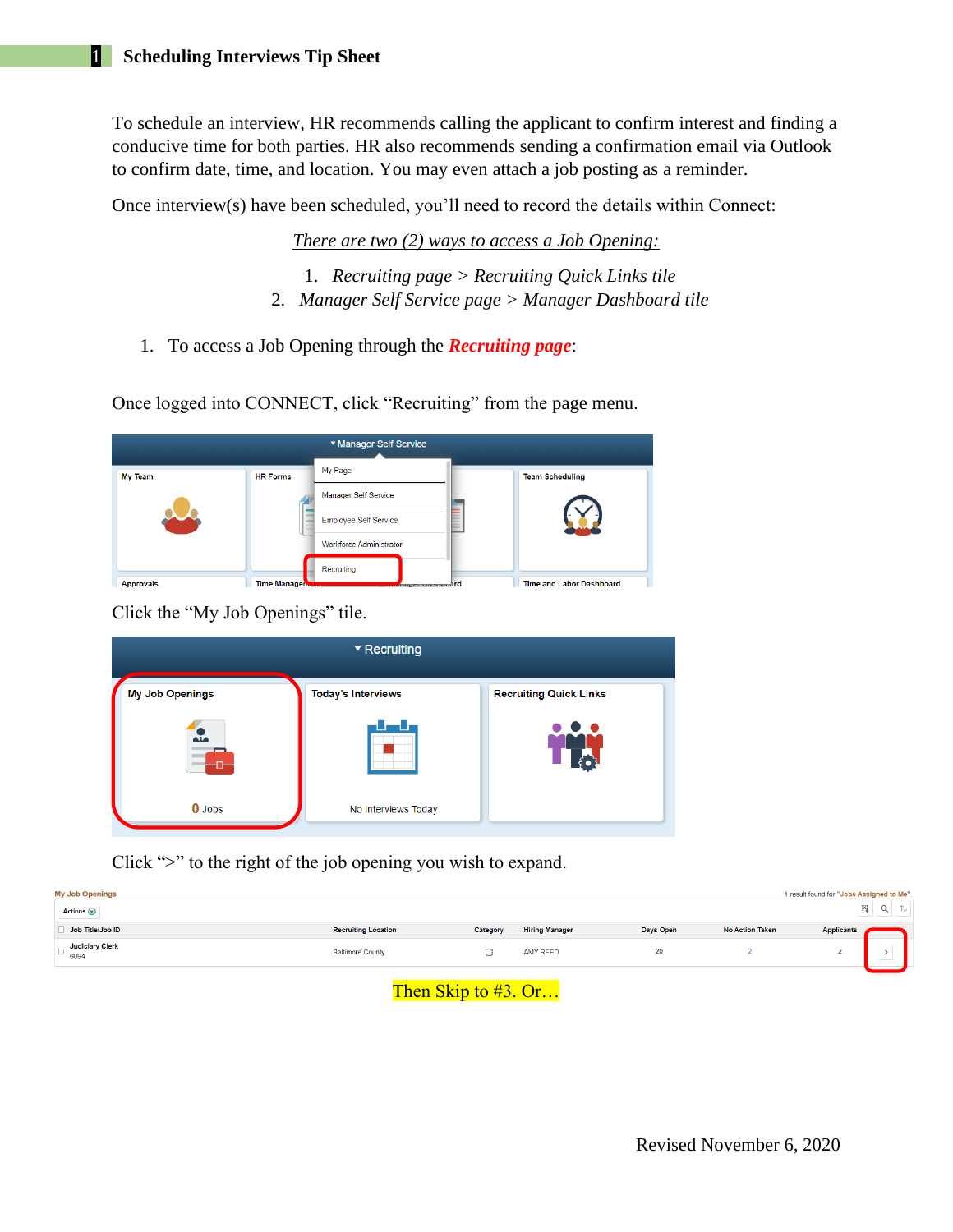To schedule an interview, HR recommends calling the applicant to confirm interest and finding a conducive time for both parties. HR also recommends sending a confirmation email via Outlook to confirm date, time, and location. You may even attach a job posting as a reminder.

Once interview(s) have been scheduled, you'll need to record the details within Connect:

*There are two (2) ways to access a Job Opening:*

- 1. *Recruiting page > Recruiting Quick Links tile* 2. *Manager Self Service page > Manager Dashboard tile*
- 1. To access a Job Opening through the *Recruiting page*:

Once logged into CONNECT, click "Recruiting" from the page menu.

| ▼ Manager Self Service |                     |                                |   |                                 |  |  |  |  |  |
|------------------------|---------------------|--------------------------------|---|---------------------------------|--|--|--|--|--|
| <b>My Team</b>         | <b>HR Forms</b>     | My Page                        |   | <b>Team Scheduling</b>          |  |  |  |  |  |
|                        |                     | <b>Manager Self Service</b>    |   |                                 |  |  |  |  |  |
|                        |                     | <b>Employee Self Service</b>   | - |                                 |  |  |  |  |  |
|                        |                     | <b>Workforce Administrator</b> |   |                                 |  |  |  |  |  |
|                        |                     | Recruiting                     |   |                                 |  |  |  |  |  |
| <b>Approvals</b>       | <b>Time Manager</b> | <b>Mayor</b> Dasmoodrd         |   | <b>Time and Labor Dashboard</b> |  |  |  |  |  |

Click the "My Job Openings" tile.

| ▼ Recruiting           |                           |                               |  |  |  |  |  |  |  |
|------------------------|---------------------------|-------------------------------|--|--|--|--|--|--|--|
| <b>My Job Openings</b> | <b>Today's Interviews</b> | <b>Recruiting Quick Links</b> |  |  |  |  |  |  |  |
| A.<br>O.               |                           |                               |  |  |  |  |  |  |  |
| $0$ Jobs               | No Interviews Today       |                               |  |  |  |  |  |  |  |

Click ">" to the right of the job opening you wish to expand.

| <b>My Job Openings</b><br>Actions $\odot$   |                            |          |                       |           |                        | 1 result found for "Jobs Assigned to Me".<br>$\mathbb{X}^1_\clubsuit$<br>Q | 礼 |
|---------------------------------------------|----------------------------|----------|-----------------------|-----------|------------------------|----------------------------------------------------------------------------|---|
| Job Title/Job ID                            | <b>Recruiting Location</b> | Category | <b>Hiring Manager</b> | Days Open | <b>No Action Taken</b> | <b>Applicants</b>                                                          |   |
| <b>Judiciary Clerk</b><br>$\overline{6094}$ | <b>Baltimore County</b>    | $\sim$   | <b>AMY REED</b>       | 20        |                        | $\overline{\phantom{a}}$<br>٠<br>سا                                        |   |
|                                             |                            |          |                       |           |                        |                                                                            |   |

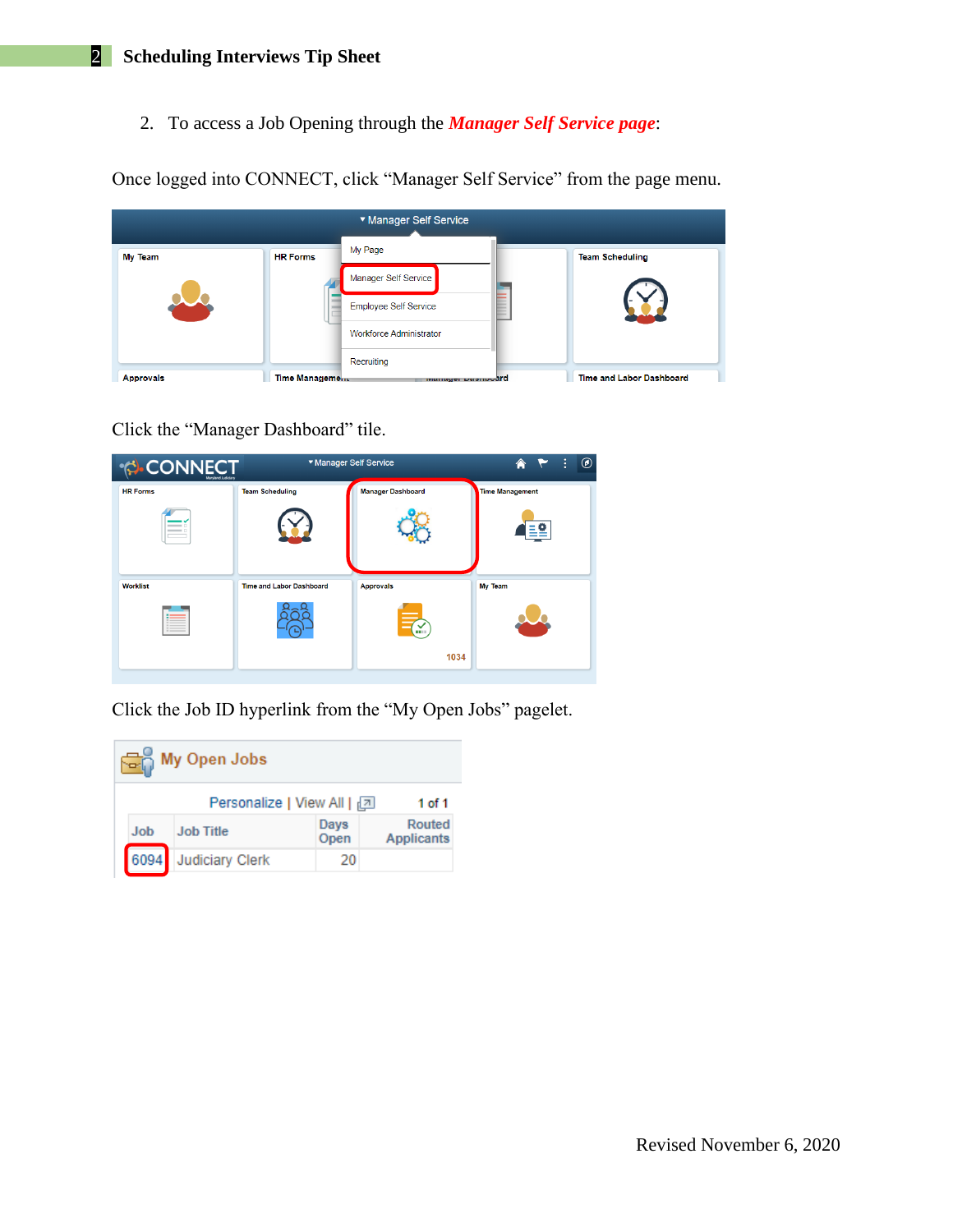2. To access a Job Opening through the *Manager Self Service page*:

Once logged into CONNECT, click "Manager Self Service" from the page menu.

| ▼ Manager Self Service |                 |                                |  |                                 |  |  |  |  |  |
|------------------------|-----------------|--------------------------------|--|---------------------------------|--|--|--|--|--|
| <b>My Team</b>         | <b>HR Forms</b> | My Page                        |  | <b>Team Scheduling</b>          |  |  |  |  |  |
|                        |                 | Manager Self Service           |  |                                 |  |  |  |  |  |
|                        |                 | <b>Employee Self Service</b>   |  |                                 |  |  |  |  |  |
|                        |                 | <b>Workforce Administrator</b> |  |                                 |  |  |  |  |  |
|                        |                 | Recruiting                     |  |                                 |  |  |  |  |  |
| <b>Approvals</b>       | Time Management | manager pasmoodrd              |  | <b>Time and Labor Dashboard</b> |  |  |  |  |  |

Click the "Manager Dashboard" tile.

| <b>CONNECT</b><br>Maryland Judiciary |                                 | ▼ Manager Self Service<br>÷<br>A |                        |  |  |  |  |  |
|--------------------------------------|---------------------------------|----------------------------------|------------------------|--|--|--|--|--|
| <b>HR Forms</b>                      | <b>Team Scheduling</b>          | <b>Manager Dashboard</b>         | <b>Time Management</b> |  |  |  |  |  |
|                                      |                                 |                                  |                        |  |  |  |  |  |
| <b>Worklist</b>                      | <b>Time and Labor Dashboard</b> | <b>Approvals</b>                 | My Team                |  |  |  |  |  |
|                                      |                                 |                                  |                        |  |  |  |  |  |
|                                      |                                 | 1034                             |                        |  |  |  |  |  |

Click the Job ID hyperlink from the "My Open Jobs" pagelet.

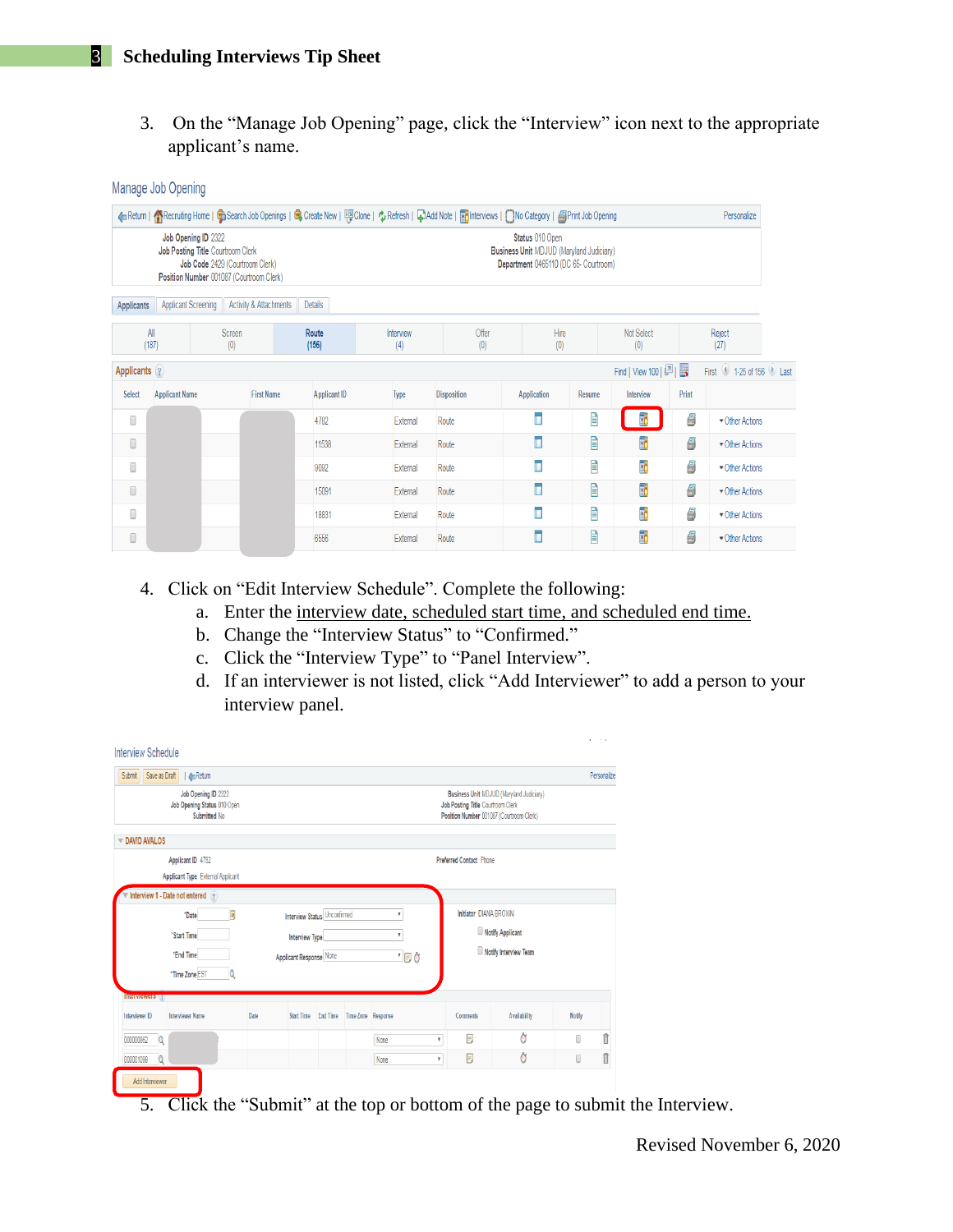## 3 **Scheduling Interviews Tip Sheet**

Manage Job Opening

3. On the "Manage Job Opening" page, click the "Interview" icon next to the appropriate applicant's name.

|              |                                                                                                      |                                 |                        |                     |                  | 4 Return   个Recruiting Home   G Search Job Openings   G Create New   興 Clone   C Refresh   C Add Note   K   Interviews   Wo Category   国 Print Job Opening |                                                                                                             |        |                                     |       | Personalize               |
|--------------|------------------------------------------------------------------------------------------------------|---------------------------------|------------------------|---------------------|------------------|------------------------------------------------------------------------------------------------------------------------------------------------------------|-------------------------------------------------------------------------------------------------------------|--------|-------------------------------------|-------|---------------------------|
|              | Job Opening ID 2322<br>Job Posting Title Courtroom Clerk<br>Position Number 001087 (Courtroom Clerk) | Job Code 2429 (Courtroom Clerk) |                        |                     |                  |                                                                                                                                                            | Status 010 Open<br><b>Business Unit MDJUD (Maryland Judiciary)</b><br>Department 0465110 (DC 65- Courtroom) |        |                                     |       |                           |
| Applicants   | Applicant Screening                                                                                  |                                 | Activity & Attachments | Details             |                  |                                                                                                                                                            |                                                                                                             |        |                                     |       |                           |
|              | All<br>(187)                                                                                         | Screen<br>(0)                   |                        | Route<br>(156)      | Interview<br>(4) | Offer<br>(0)                                                                                                                                               | Hire<br>(0)                                                                                                 |        | Not Select<br>(0)                   |       | Reject<br>(27)            |
| Applicants ? |                                                                                                      |                                 |                        |                     |                  |                                                                                                                                                            |                                                                                                             |        | Find   View 100   <sup>[기</sup>   展 |       | 1-25 of 156 Last<br>First |
| Select       | <b>Applicant Name</b>                                                                                |                                 | <b>First Name</b>      | <b>Applicant ID</b> | Type             | <b>Disposition</b>                                                                                                                                         | Application                                                                                                 | Resume | Interview                           | Print |                           |
| 0            |                                                                                                      |                                 |                        | 4782                | External         | Route                                                                                                                                                      |                                                                                                             | Ê      | R                                   | 8     | Other Actions             |
| 0            |                                                                                                      |                                 |                        | 11538               | External         | Route                                                                                                                                                      | Г                                                                                                           | Ê      | $\overline{\cdot}$                  | 8     | Other Actions             |
| 0            |                                                                                                      |                                 |                        | 9092                | External         | Route                                                                                                                                                      | Г                                                                                                           | Ë      | B                                   | 9     | Other Actions             |
| 0            |                                                                                                      |                                 |                        | 15091               | External         | Route                                                                                                                                                      | Г                                                                                                           | Ê      | 岡                                   | 8     | Other Actions             |
| 0            |                                                                                                      |                                 |                        | 18831               | External         | Route                                                                                                                                                      | ī                                                                                                           | Ë      | B                                   | 8     | Other Actions             |
| 0            |                                                                                                      |                                 |                        | 6556                | External         | Route                                                                                                                                                      | Г                                                                                                           | 昏      | T,                                  | 8     | Other Actions             |

- 4. Click on "Edit Interview Schedule". Complete the following:
	- a. Enter the interview date, scheduled start time, and scheduled end time.
	- b. Change the "Interview Status" to "Confirmed."
	- c. Click the "Interview Type" to "Panel Interview".
	- d. If an interviewer is not listed, click "Add Interviewer" to add a person to your interview panel.

| <b>Interview Schedule</b>                                                       |      |                              |                                        |                         |                                                                               |                                          |        | <b>All Control</b> |
|---------------------------------------------------------------------------------|------|------------------------------|----------------------------------------|-------------------------|-------------------------------------------------------------------------------|------------------------------------------|--------|--------------------|
| Save as Draft<br><b>Exp</b> Return<br>Submit                                    |      |                              |                                        |                         |                                                                               |                                          |        | Personalize        |
| Job Opening ID 2322<br>Job Opening Status 010 Open<br>Submitted No.             |      |                              |                                        |                         | Job Posting Title Courtroom Clerk<br>Position Number 001087 (Courtroom Clerk) | Business Unit MDJUD (Maryland Judiciary) |        |                    |
| DAVID AVALOS                                                                    |      |                              |                                        |                         |                                                                               |                                          |        |                    |
| Applicant ID 4782                                                               |      |                              |                                        |                         | Preferred Contact Phone                                                       |                                          |        |                    |
| Applicant Type External Applicant                                               |      |                              |                                        |                         |                                                                               |                                          |        |                    |
| $\overline{\phantom{a}}$ Interview 1 - Date not entered $\widehat{\phantom{a}}$ |      |                              |                                        |                         |                                                                               |                                          |        |                    |
| Ħ<br>*Date                                                                      |      | Interview Status Unconfirmed |                                        | 7                       | Initiator DIANA BROWN                                                         |                                          |        |                    |
| *Start Time                                                                     |      | Interview Type               |                                        | $\overline{\mathbf{v}}$ |                                                                               | Notify Applicant                         |        |                    |
| "End Time                                                                       |      | Applicant Response None      |                                        | 「目の                     |                                                                               | Notify Interview Team                    |        |                    |
| *Time Zone EST<br>Q                                                             |      |                              |                                        |                         |                                                                               |                                          |        |                    |
| <b>Interviewers</b>                                                             |      |                              |                                        |                         |                                                                               |                                          |        |                    |
| <b>Interviewer Name</b><br>Interviewer ID                                       | Date |                              | Start Time End Time Time Zone Response |                         | <b>Comments</b>                                                               | <b>Availability</b>                      | Notify |                    |
| 000000862<br>O                                                                  |      |                              |                                        | None<br>٢               | W,                                                                            | Ò                                        | Π      | î                  |
|                                                                                 |      |                              |                                        |                         |                                                                               |                                          |        |                    |

5. Click the "Submit" at the top or bottom of the page to submit the Interview.